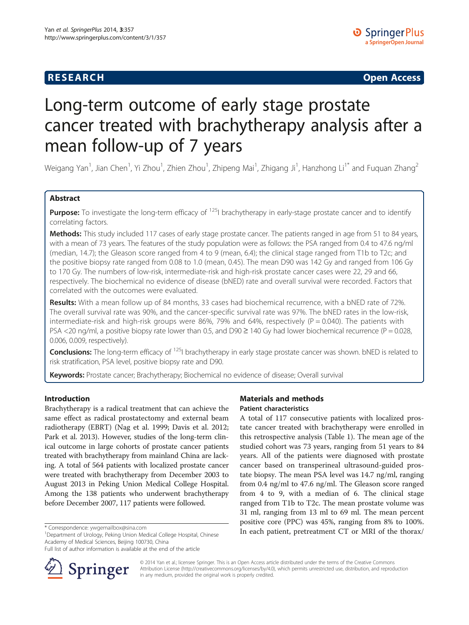# **RESEARCH CHINESE ARCH CHINESE ARCH CHINESE ARCH <b>CHINESE ARCH**

# Long-term outcome of early stage prostate cancer treated with brachytherapy analysis after a mean follow-up of 7 years

Weigang Yan<sup>1</sup>, Jian Chen<sup>1</sup>, Yi Zhou<sup>1</sup>, Zhien Zhou<sup>1</sup>, Zhipeng Mai<sup>1</sup>, Zhigang Ji<sup>1</sup>, Hanzhong Li<sup>1\*</sup> and Fuquan Zhang<sup>2</sup>

# Abstract

**Purpose:** To investigate the long-term efficacy of <sup>125</sup>I brachytherapy in early-stage prostate cancer and to identify correlating factors.

Methods: This study included 117 cases of early stage prostate cancer. The patients ranged in age from 51 to 84 years, with a mean of 73 years. The features of the study population were as follows: the PSA ranged from 0.4 to 47.6 ng/ml (median, 14.7); the Gleason score ranged from 4 to 9 (mean, 6.4); the clinical stage ranged from T1b to T2c; and the positive biopsy rate ranged from 0.08 to 1.0 (mean, 0.45). The mean D90 was 142 Gy and ranged from 106 Gy to 170 Gy. The numbers of low-risk, intermediate-risk and high-risk prostate cancer cases were 22, 29 and 66, respectively. The biochemical no evidence of disease (bNED) rate and overall survival were recorded. Factors that correlated with the outcomes were evaluated.

Results: With a mean follow up of 84 months, 33 cases had biochemical recurrence, with a bNED rate of 72%. The overall survival rate was 90%, and the cancer-specific survival rate was 97%. The bNED rates in the low-risk, intermediate-risk and high-risk groups were 86%, 79% and 64%, respectively ( $P = 0.040$ ). The patients with PSA <20 ng/ml, a positive biopsy rate lower than 0.5, and D90  $\geq$  140 Gy had lower biochemical recurrence (P = 0.028, 0.006, 0.009, respectively).

**Conclusions:** The long-term efficacy of  $^{125}$  brachytherapy in early stage prostate cancer was shown. bNED is related to risk stratification, PSA level, positive biopsy rate and D90.

Keywords: Prostate cancer; Brachytherapy; Biochemical no evidence of disease; Overall survival

# Introduction

Brachytherapy is a radical treatment that can achieve the same effect as radical prostatectomy and external beam radiotherapy (EBRT) (Nag et al. [1999;](#page-6-0) Davis et al. [2012](#page-6-0); Park et al. [2013\)](#page-6-0). However, studies of the long-term clinical outcome in large cohorts of prostate cancer patients treated with brachytherapy from mainland China are lacking. A total of 564 patients with localized prostate cancer were treated with brachytherapy from December 2003 to August 2013 in Peking Union Medical College Hospital. Among the 138 patients who underwent brachytherapy before December 2007, 117 patients were followed.

<sup>1</sup>Department of Urology, Peking Union Medical College Hospital, Chinese Academy of Medical Sciences, Beijing 100730, China

Full list of author information is available at the end of the article



# Materials and methods Patient characteristics

A total of 117 consecutive patients with localized prostate cancer treated with brachytherapy were enrolled in this retrospective analysis (Table [1\)](#page-1-0). The mean age of the studied cohort was 73 years, ranging from 51 years to 84 years. All of the patients were diagnosed with prostate cancer based on transperineal ultrasound-guided prostate biopsy. The mean PSA level was 14.7 ng/ml, ranging from 0.4 ng/ml to 47.6 ng/ml. The Gleason score ranged from 4 to 9, with a median of 6. The clinical stage ranged from T1b to T2c. The mean prostate volume was 31 ml, ranging from 13 ml to 69 ml. The mean percent positive core (PPC) was 45%, ranging from 8% to 100%. \* Correspondence: [ywgemailbox@sina.com](mailto:ywgemailbox@sina.com) and thorax/<br><sup>1</sup>Department of Urology Peking Union Medical College Hospital Chinese **10.1 In each patient, pretreatment CT or MRI of the thorax**/

> © 2014 Yan et al.; licensee Springer. This is an Open Access article distributed under the terms of the Creative Commons Attribution License [\(http://creativecommons.org/licenses/by/4.0\)](http://creativecommons.org/licenses/by/4.0), which permits unrestricted use, distribution, and reproduction in any medium, provided the original work is properly credited.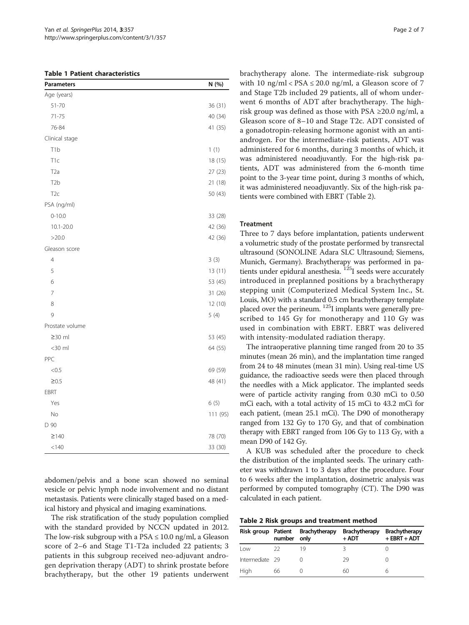<span id="page-1-0"></span>

| <b>Parameters</b> | N (%)    |
|-------------------|----------|
| Age (years)       |          |
| $51 - 70$         | 36 (31)  |
| 71-75             | 40 (34)  |
| 76-84             | 41 (35)  |
| Clinical stage    |          |
| T <sub>1</sub> b  | 1(1)     |
| T <sub>1c</sub>   | 18 (15)  |
| T2a               | 27 (23)  |
| T <sub>2</sub> b  | 21 (18)  |
| T <sub>2c</sub>   | 50 (43)  |
| PSA (ng/ml)       |          |
| $0 - 10.0$        | 33 (28)  |
| $10.1 - 20.0$     | 42 (36)  |
| >20.0             | 42 (36)  |
| Gleason score     |          |
| $\overline{4}$    | 3(3)     |
| 5                 | 13 (11)  |
| 6                 | 53 (45)  |
| $\overline{7}$    | 31 (26)  |
| 8                 | 12 (10)  |
| 9                 | 5(4)     |
| Prostate volume   |          |
| $\geq$ 30 ml      | 53 (45)  |
| $<$ 30 $ml$       | 64 (55)  |
| PPC               |          |
| < 0.5             | 69 (59)  |
| $\geq 0.5$        | 48 (41)  |
| EBRT              |          |
| Yes               | 6(5)     |
| No                | 111 (95) |
| D 90              |          |
| $\geq$ 140        | 78 (70)  |
| < 140             | 33 (30)  |

abdomen/pelvis and a bone scan showed no seminal vesicle or pelvic lymph node involvement and no distant metastasis. Patients were clinically staged based on a medical history and physical and imaging examinations.

The risk stratification of the study population complied with the standard provided by NCCN updated in 2012. The low-risk subgroup with a  $PSA \leq 10.0$  ng/ml, a Gleason score of 2–6 and Stage T1-T2a included 22 patients; 3 patients in this subgroup received neo-adjuvant androgen deprivation therapy (ADT) to shrink prostate before brachytherapy, but the other 19 patients underwent brachytherapy alone. The intermediate-risk subgroup with 10 ng/ml <  $PSA \le 20.0$  ng/ml, a Gleason score of 7 and Stage T2b included 29 patients, all of whom underwent 6 months of ADT after brachytherapy. The highrisk group was defined as those with PSA  $\geq$ 20.0 ng/ml, a Gleason score of 8–10 and Stage T2c. ADT consisted of a gonadotropin-releasing hormone agonist with an antiandrogen. For the intermediate-risk patients, ADT was administered for 6 months, during 3 months of which, it was administered neoadjuvantly. For the high-risk patients, ADT was administered from the 6-month time point to the 3-year time point, during 3 months of which, it was administered neoadjuvantly. Six of the high-risk patients were combined with EBRT (Table 2).

## **Treatment**

Three to 7 days before implantation, patients underwent a volumetric study of the prostate performed by transrectal ultrasound (SONOLINE Adara SLC Ultrasound; Siemens, Munich, Germany). Brachytherapy was performed in patients under epidural anesthesia.<sup>125</sup>I seeds were accurately introduced in preplanned positions by a brachytherapy stepping unit (Computerized Medical System Inc., St. Louis, MO) with a standard 0.5 cm brachytherapy template placed over the perineum. 125I implants were generally prescribed to 145 Gy for monotherapy and 110 Gy was used in combination with EBRT. EBRT was delivered with intensity-modulated radiation therapy.

The intraoperative planning time ranged from 20 to 35 minutes (mean 26 min), and the implantation time ranged from 24 to 48 minutes (mean 31 min). Using real-time US guidance, the radioactive seeds were then placed through the needles with a Mick applicator. The implanted seeds were of particle activity ranging from 0.30 mCi to 0.50 mCi each, with a total activity of 15 mCi to 43.2 mCi for each patient, (mean 25.1 mCi). The D90 of monotherapy ranged from 132 Gy to 170 Gy, and that of combination therapy with EBRT ranged from 106 Gy to 113 Gy, with a mean D90 of 142 Gy.

A KUB was scheduled after the procedure to check the distribution of the implanted seeds. The urinary catheter was withdrawn 1 to 3 days after the procedure. Four to 6 weeks after the implantation, dosimetric analysis was performed by computed tomography (CT). The D90 was calculated in each patient.

|  |  |  |  |  | Table 2 Risk groups and treatment method |  |
|--|--|--|--|--|------------------------------------------|--|
|--|--|--|--|--|------------------------------------------|--|

|                 | number | Risk group Patient Brachytherapy<br>only | <b>Brachytherapy</b><br>$+$ ADT | <b>Brachytherapy</b><br>$+$ EBRT + ADT |
|-----------------|--------|------------------------------------------|---------------------------------|----------------------------------------|
| l ow            | -22    | 19                                       |                                 |                                        |
| Intermediate 29 |        |                                          | 29                              |                                        |
| High            | 66     |                                          | 60                              |                                        |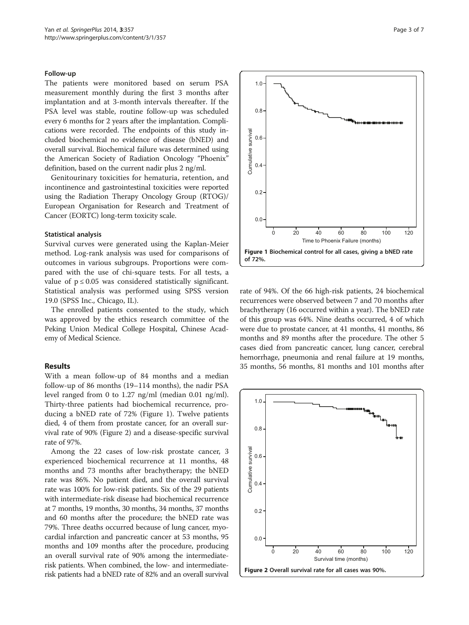## Follow-up

The patients were monitored based on serum PSA measurement monthly during the first 3 months after implantation and at 3-month intervals thereafter. If the PSA level was stable, routine follow-up was scheduled every 6 months for 2 years after the implantation. Complications were recorded. The endpoints of this study included biochemical no evidence of disease (bNED) and overall survival. Biochemical failure was determined using the American Society of Radiation Oncology "Phoenix" definition, based on the current nadir plus 2 ng/ml.

Genitourinary toxicities for hematuria, retention, and incontinence and gastrointestinal toxicities were reported using the Radiation Therapy Oncology Group (RTOG)/ European Organisation for Research and Treatment of Cancer (EORTC) long-term toxicity scale.

### Statistical analysis

Survival curves were generated using the Kaplan-Meier method. Log-rank analysis was used for comparisons of outcomes in various subgroups. Proportions were compared with the use of chi-square tests. For all tests, a value of  $p \leq 0.05$  was considered statistically significant. Statistical analysis was performed using SPSS version 19.0 (SPSS Inc., Chicago, IL).

The enrolled patients consented to the study, which was approved by the ethics research committee of the Peking Union Medical College Hospital, Chinese Academy of Medical Science.

## Results

With a mean follow-up of 84 months and a median follow-up of 86 months (19–114 months), the nadir PSA level ranged from 0 to 1.27 ng/ml (median 0.01 ng/ml). Thirty-three patients had biochemical recurrence, producing a bNED rate of 72% (Figure 1). Twelve patients died, 4 of them from prostate cancer, for an overall survival rate of 90% (Figure 2) and a disease-specific survival rate of 97%.

Among the 22 cases of low-risk prostate cancer, 3 experienced biochemical recurrence at 11 months, 48 months and 73 months after brachytherapy; the bNED rate was 86%. No patient died, and the overall survival rate was 100% for low-risk patients. Six of the 29 patients with intermediate-risk disease had biochemical recurrence at 7 months, 19 months, 30 months, 34 months, 37 months and 60 months after the procedure; the bNED rate was 79%. Three deaths occurred because of lung cancer, myocardial infarction and pancreatic cancer at 53 months, 95 months and 109 months after the procedure, producing an overall survival rate of 90% among the intermediaterisk patients. When combined, the low- and intermediaterisk patients had a bNED rate of 82% and an overall survival



rate of 94%. Of the 66 high-risk patients, 24 biochemical recurrences were observed between 7 and 70 months after brachytherapy (16 occurred within a year). The bNED rate of this group was 64%. Nine deaths occurred, 4 of which were due to prostate cancer, at 41 months, 41 months, 86 months and 89 months after the procedure. The other 5 cases died from pancreatic cancer, lung cancer, cerebral hemorrhage, pneumonia and renal failure at 19 months, 35 months, 56 months, 81 months and 101 months after

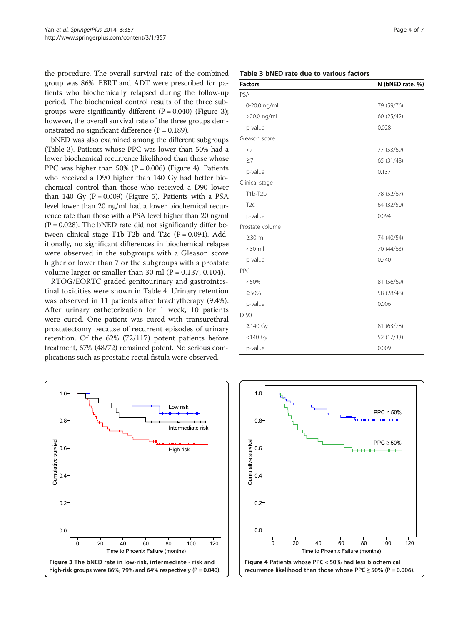the procedure. The overall survival rate of the combined group was 86%. EBRT and ADT were prescribed for patients who biochemically relapsed during the follow-up period. The biochemical control results of the three subgroups were significantly different  $(P = 0.040)$  (Figure 3); however, the overall survival rate of the three groups demonstrated no significant difference  $(P = 0.189)$ .

bNED was also examined among the different subgroups (Table 3). Patients whose PPC was lower than 50% had a lower biochemical recurrence likelihood than those whose PPC was higher than  $50\%$  (P = 0.006) (Figure 4). Patients who received a D90 higher than 140 Gy had better biochemical control than those who received a D90 lower than 140 Gy  $(P = 0.009)$  (Figure [5](#page-4-0)). Patients with a PSA level lower than 20 ng/ml had a lower biochemical recurrence rate than those with a PSA level higher than 20 ng/ml  $(P = 0.028)$ . The bNED rate did not significantly differ between clinical stage T1b-T2b and T2c ( $P = 0.094$ ). Additionally, no significant differences in biochemical relapse were observed in the subgroups with a Gleason score higher or lower than 7 or the subgroups with a prostate volume larger or smaller than 30 ml  $(P = 0.137, 0.104)$ .

RTOG/EORTC graded genitourinary and gastrointestinal toxicities were shown in Table [4](#page-4-0). Urinary retention was observed in 11 patients after brachytherapy (9.4%). After urinary catheterization for 1 week, 10 patients were cured. One patient was cured with transurethral prostatectomy because of recurrent episodes of urinary retention. Of the 62% (72/117) potent patients before treatment, 67% (48/72) remained potent. No serious complications such as prostatic rectal fistula were observed.



| <b>Factors</b>  | N (bNED rate, %) |  |  |
|-----------------|------------------|--|--|
| PSA             |                  |  |  |
| 0-20.0 ng/ml    | 79 (59/76)       |  |  |
| >20.0 ng/ml     | 60 (25/42)       |  |  |
| p-value         | 0.028            |  |  |
| Gleason score   |                  |  |  |
| $<$ 7           | 77 (53/69)       |  |  |
| $\geq 7$        | 65 (31/48)       |  |  |
| p-value         | 0.137            |  |  |
| Clinical stage  |                  |  |  |
| T1b-T2b         | 78 (52/67)       |  |  |
| T <sub>2c</sub> | 64 (32/50)       |  |  |
| p-value         | 0.094            |  |  |
| Prostate volume |                  |  |  |
| $\geq$ 30 ml    | 74 (40/54)       |  |  |
| $<$ 30 $ml$     | 70 (44/63)       |  |  |
| p-value         | 0.740            |  |  |
| PPC             |                  |  |  |
| < 50%           | 81 (56/69)       |  |  |
| ≥50%            | 58 (28/48)       |  |  |
| p-value         | 0.006            |  |  |
| D 90            |                  |  |  |
| $\geq$ 140 Gy   | 81 (63/78)       |  |  |
| $<$ 140 Gy      | 52 (17/33)       |  |  |
| p-value         | 0.009            |  |  |

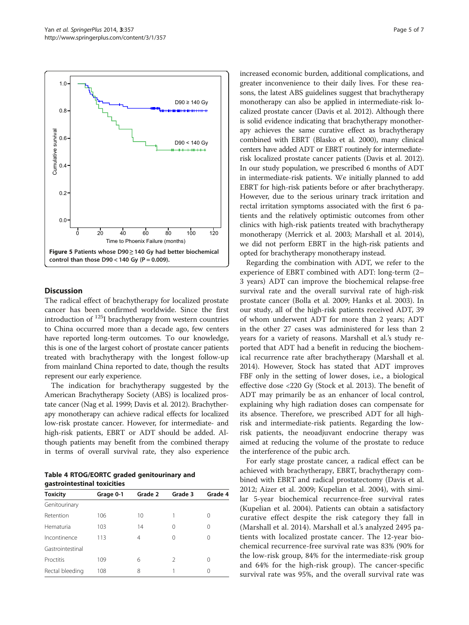<span id="page-4-0"></span>

## **Discussion**

The radical effect of brachytherapy for localized prostate cancer has been confirmed worldwide. Since the first introduction of  $^{125}$ I brachytherapy from western countries to China occurred more than a decade ago, few centers have reported long-term outcomes. To our knowledge, this is one of the largest cohort of prostate cancer patients treated with brachytherapy with the longest follow-up from mainland China reported to date, though the results represent our early experience.

The indication for brachytherapy suggested by the American Brachytherapy Society (ABS) is localized prostate cancer (Nag et al. [1999;](#page-6-0) Davis et al. [2012\)](#page-6-0). Brachytherapy monotherapy can achieve radical effects for localized low-risk prostate cancer. However, for intermediate- and high-risk patients, EBRT or ADT should be added. Although patients may benefit from the combined therapy in terms of overall survival rate, they also experience

Table 4 RTOG/EORTC graded genitourinary and gastrointestinal toxicities

| <b>Toxicity</b>  | Grage 0-1 | Grade 2 | Grade 3       | Grade 4 |  |
|------------------|-----------|---------|---------------|---------|--|
| Genitourinary    |           |         |               |         |  |
| Retention        | 106       | 10      |               | 0       |  |
| Hematuria        | 103       | 14      | 0             | Ω       |  |
| Incontinence     | 113       | 4       | 0             | Ω       |  |
| Gastrointestinal |           |         |               |         |  |
| Proctitis        | 109       | 6       | $\mathcal{P}$ | Ω       |  |
| Rectal bleeding  | 108       | 8       |               | Ω       |  |

increased economic burden, additional complications, and greater inconvenience to their daily lives. For these reasons, the latest ABS guidelines suggest that brachytherapy monotherapy can also be applied in intermediate-risk localized prostate cancer (Davis et al. [2012](#page-6-0)). Although there is solid evidence indicating that brachytherapy monotherapy achieves the same curative effect as brachytherapy combined with EBRT (Blasko et al. [2000\)](#page-6-0), many clinical centers have added ADT or EBRT routinely for intermediaterisk localized prostate cancer patients (Davis et al. [2012](#page-6-0)). In our study population, we prescribed 6 months of ADT in intermediate-risk patients. We initially planned to add EBRT for high-risk patients before or after brachytherapy. However, due to the serious urinary track irritation and rectal irritation symptoms associated with the first 6 patients and the relatively optimistic outcomes from other clinics with high-risk patients treated with brachytherapy monotherapy (Merrick et al. [2003;](#page-6-0) Marshall et al. [2014](#page-6-0)), we did not perform EBRT in the high-risk patients and opted for brachytherapy monotherapy instead.

Regarding the combination with ADT, we refer to the experience of EBRT combined with ADT: long-term (2– 3 years) ADT can improve the biochemical relapse-free survival rate and the overall survival rate of high-risk prostate cancer (Bolla et al. [2009](#page-6-0); Hanks et al. [2003\)](#page-6-0). In our study, all of the high-risk patients received ADT, 39 of whom underwent ADT for more than 2 years; ADT in the other 27 cases was administered for less than 2 years for a variety of reasons. Marshall et al.'s study reported that ADT had a benefit in reducing the biochemical recurrence rate after brachytherapy (Marshall et al. [2014](#page-6-0)). However, Stock has stated that ADT improves FBF only in the setting of lower doses, i.e., a biological effective dose <220 Gy (Stock et al. [2013](#page-6-0)). The benefit of ADT may primarily be as an enhancer of local control, explaining why high radiation doses can compensate for its absence. Therefore, we prescribed ADT for all highrisk and intermediate-risk patients. Regarding the lowrisk patients, the neoadjuvant endocrine therapy was aimed at reducing the volume of the prostate to reduce the interference of the pubic arch.

For early stage prostate cancer, a radical effect can be achieved with brachytherapy, EBRT, brachytherapy combined with EBRT and radical prostatectomy (Davis et al. [2012](#page-6-0); Aizer et al. [2009;](#page-5-0) Kupelian et al. [2004\)](#page-6-0), with similar 5-year biochemical recurrence-free survival rates (Kupelian et al. [2004\)](#page-6-0). Patients can obtain a satisfactory curative effect despite the risk category they fall in (Marshall et al. [2014](#page-6-0)). Marshall et al.'s analyzed 2495 patients with localized prostate cancer. The 12-year biochemical recurrence-free survival rate was 83% (90% for the low-risk group, 84% for the intermediate-risk group and 64% for the high-risk group). The cancer-specific survival rate was 95%, and the overall survival rate was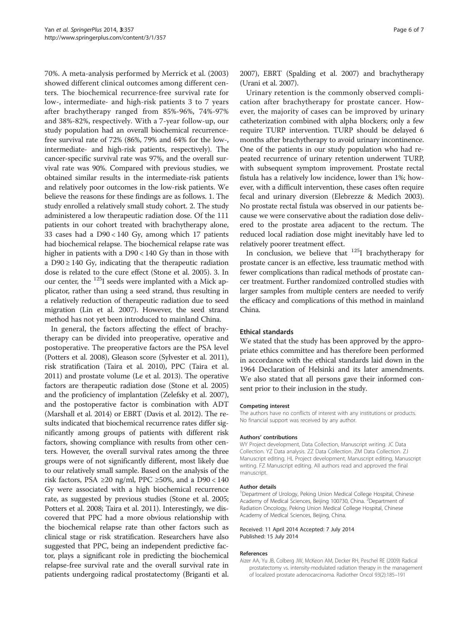<span id="page-5-0"></span>70%. A meta-analysis performed by Merrick et al. [\(2003](#page-6-0)) showed different clinical outcomes among different centers. The biochemical recurrence-free survival rate for low-, intermediate- and high-risk patients 3 to 7 years after brachytherapy ranged from 85%-96%, 74%-97% and 38%-82%, respectively. With a 7-year follow-up, our study population had an overall biochemical recurrencefree survival rate of 72% (86%, 79% and 64% for the low-, intermediate- and high-risk patients, respectively). The cancer-specific survival rate was 97%, and the overall survival rate was 90%. Compared with previous studies, we obtained similar results in the intermediate-risk patients and relatively poor outcomes in the low-risk patients. We believe the reasons for these findings are as follows. 1. The study enrolled a relatively small study cohort. 2. The study administered a low therapeutic radiation dose. Of the 111 patients in our cohort treated with brachytherapy alone, 33 cases had a D90 < 140 Gy, among which 17 patients had biochemical relapse. The biochemical relapse rate was higher in patients with a D90 < 140 Gy than in those with a  $D90 \ge 140$  Gy, indicating that the therapeutic radiation dose is related to the cure effect (Stone et al. [2005](#page-6-0)). 3. In our center, the <sup>125</sup>I seeds were implanted with a Mick applicator, rather than using a seed strand, thus resulting in a relatively reduction of therapeutic radiation due to seed migration (Lin et al. [2007](#page-6-0)). However, the seed strand method has not yet been introduced to mainland China.

In general, the factors affecting the effect of brachytherapy can be divided into preoperative, operative and postoperative. The preoperative factors are the PSA level (Potters et al. [2008](#page-6-0)), Gleason score (Sylvester et al. [2011](#page-6-0)), risk stratification (Taira et al. [2010\)](#page-6-0), PPC (Taira et al. [2011\)](#page-6-0) and prostate volume (Le et al. [2013](#page-6-0)). The operative factors are therapeutic radiation dose (Stone et al. [2005](#page-6-0)) and the proficiency of implantation (Zelefsky et al. [2007](#page-6-0)), and the postoperative factor is combination with ADT (Marshall et al. [2014](#page-6-0)) or EBRT (Davis et al. [2012](#page-6-0)). The results indicated that biochemical recurrence rates differ significantly among groups of patients with different risk factors, showing compliance with results from other centers. However, the overall survival rates among the three groups were of not significantly different, most likely due to our relatively small sample. Based on the analysis of the risk factors, PSA ≥20 ng/ml, PPC ≥50%, and a D90 < 140 Gy were associated with a high biochemical recurrence rate, as suggested by previous studies (Stone et al. [2005](#page-6-0); Potters et al. [2008](#page-6-0); Taira et al. [2011\)](#page-6-0). Interestingly, we discovered that PPC had a more obvious relationship with the biochemical relapse rate than other factors such as clinical stage or risk stratification. Researchers have also suggested that PPC, being an independent predictive factor, plays a significant role in predicting the biochemical relapse-free survival rate and the overall survival rate in patients undergoing radical prostatectomy (Briganti et al. [2007](#page-6-0)), EBRT (Spalding et al. [2007\)](#page-6-0) and brachytherapy (Urani et al. [2007](#page-6-0)).

Urinary retention is the commonly observed complication after brachytherapy for prostate cancer. However, the majority of cases can be improved by urinary catheterization combined with alpha blockers; only a few require TURP intervention. TURP should be delayed 6 months after brachytherapy to avoid urinary incontinence. One of the patients in our study population who had repeated recurrence of urinary retention underwent TURP, with subsequent symptom improvement. Prostate rectal fistula has a relatively low incidence, lower than 1%; however, with a difficult intervention, these cases often require fecal and urinary diversion (Elebrezze & Medich [2003](#page-6-0)). No prostate rectal fistula was observed in our patients because we were conservative about the radiation dose delivered to the prostate area adjacent to the rectum. The reduced local radiation dose might inevitably have led to relatively poorer treatment effect.

In conclusion, we believe that  $125$ I brachytherapy for prostate cancer is an effective, less traumatic method with fewer complications than radical methods of prostate cancer treatment. Further randomized controlled studies with larger samples from multiple centers are needed to verify the efficacy and complications of this method in mainland China.

## Ethical standards

We stated that the study has been approved by the appropriate ethics committee and has therefore been performed in accordance with the ethical standards laid down in the 1964 Declaration of Helsinki and its later amendments. We also stated that all persons gave their informed consent prior to their inclusion in the study.

#### Competing interest

The authors have no conflicts of interest with any institutions or products. No financial support was received by any author.

#### Authors' contributions

WY Project development, Data Collection, Manuscript writing. JC Data Collection. YZ Data analysis. ZZ Data Collection. ZM Data Collection. ZJ Manuscript editing. HL Project development, Manuscript editing, Manuscript writing. FZ Manuscript editing. All authors read and approved the final manuscript.

#### Author details

<sup>1</sup>Department of Urology, Peking Union Medical College Hospital, Chinese Academy of Medical Sciences, Beijing 100730, China. <sup>2</sup>Department of Radiation Oncology, Peking Union Medical College Hospital, Chinese Academy of Medical Sciences, Beijing, China.

Received: 11 April 2014 Accepted: 7 July 2014 Published: 15 July 2014

#### References

Aizer AA, Yu JB, Colberg JW, McKeon AM, Decker RH, Peschel RE (2009) Radical prostatectomy vs. intensity-modulated radiation therapy in the management of localized prostate adenocarcinoma. Radiother Oncol 93(2):185–191